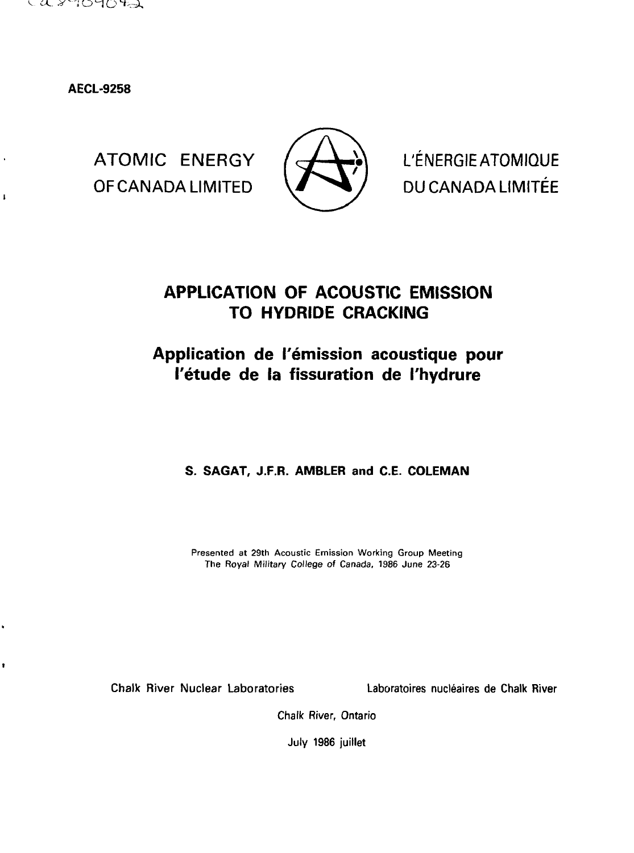

**AECL-9258**

 $\ddot{\phantom{1}}$ 

 $\pmb{\downarrow}$ 

OF CANADA LIMITED  $\sqrt{ }$   $\sqrt{ }$  DU CANADA LIMITÉE



ATOMIC ENERGY  $\left\{\begin{array}{c} \longrightarrow \\ \longrightarrow \end{array}\right\}$  L'ÉNERGIEATOMIQUE

# **APPLICATION OF ACOUSTIC EMISSION TO HYDRIDE CRACKING**

# Application de l'émission acoustique pour **I'etude de la fissuration de I'hydrure**

**S. SAGAT, J.F.R. AMBLER and C.E. COLEMAN**

Presented at 29th Acoustic Emission Working Group Meeting The Royal Military College of Canada, 1986 June 23-26

Chalk River Nuclear Laboratories Laboratoires nucleates de Chalk River

Chalk River, Ontario

July 1986 juillet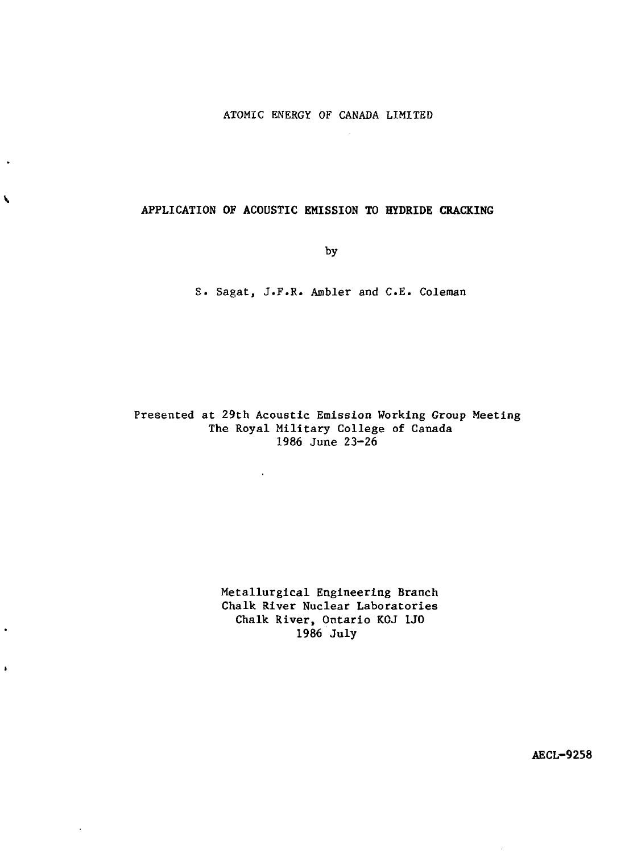### **APPLICATION OF ACOUSTIC EMISSION TO HYDRIDE CRACKING**

 $\blacktriangleright$ 

 $\ddot{\phantom{0}}$ 

 $\pmb{\mathfrak{s}}$ 

 $\epsilon$ 

by

S. Sagat, J.F.R. Ambler and C.E. Coleman

Presented at 29th Acoustic Emission Working Group Meeting The Royal Military College of Canada 1986 June 23-26

 $\Delta \phi$ 

Metallurgical Engineering **Branch** Chalk River Nuclear **Laboratories** Chalk River, Ontario **KOJ 1J0** 1986 July

**AECL-9258**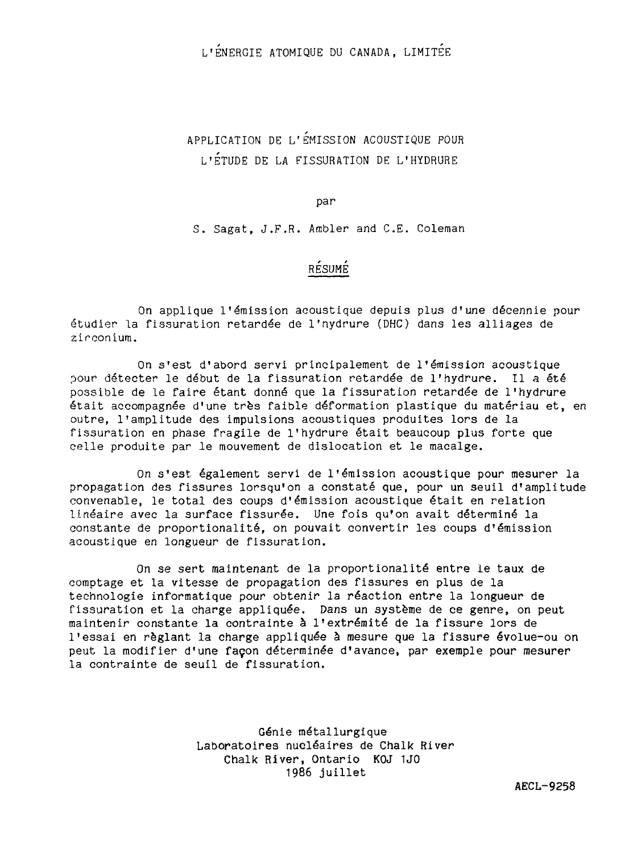L'ENERGIE ATOMIQUE DU CANADA, LIMITEE

APPLICATION DE L'EMISSION ACOUSTIQUE POUR L'ÉTUDE DE LA FISSURATION DE L'HYDRURE

par

S. Sagat, J.F.R. Ambler and C.E. Coleman

### RÉSUMÉ

On applique l'émission acoustique depuis plus d'une décennie pour étudier la fissuration retardée de l'nydrure (DHC) dans les alliages de zirconium.

On s'est d'abord servi principalement de l'émission acoustique pour détecter le début de la fissuration retardée de l'hydrure. Il a été possible de le faire étant donné que la fissuration retardée de l'hydrure était accompagnée d'une très faible déformation plastique du matériau et, en outre, l'amplitude des impulsions acoustiques produites lors de la fissuration en phase fragile de l'hydrure était beaucoup plus forte que celle produite par le mouvement de dislocation et le macalge.

On s'est également servi de l'émission acoustique pour mesurer la propagation des fissures lorsqu'on a constaté que, pour un seuil d'amplitude convenable, le total des coups d'émission acoustique était en relation linéaire avec la surface fissurée. Une fois qu'on avait déterminé la constante de proportionalité, on pouvait convertir les coups d'émission acoustique en longueur de fissuration.

On se sert maintenant de la proportionalité entre le taux de comptage et la vitesse de propagation des fissures en plus de la technologie informatique pour obtenir la réaction entre la longueur de fissuration et la charge appliquée. Dans un système de ce genre, on peut maintenir constante la contrainte à l'extrémité de la fissure lors de l'essai en réglant la charge appliquée à mesure que la fissure évolue-ou on peut la modifier d'une façon déterminée d'avance, par exemple pour mesurer la contrainte de seuil de fissuration.

> Génie métallurgique Laboratoires nucléaires de Chalk River Chalk River, Ontario KOJ 1J0 1986 juillet

> > AECL-9258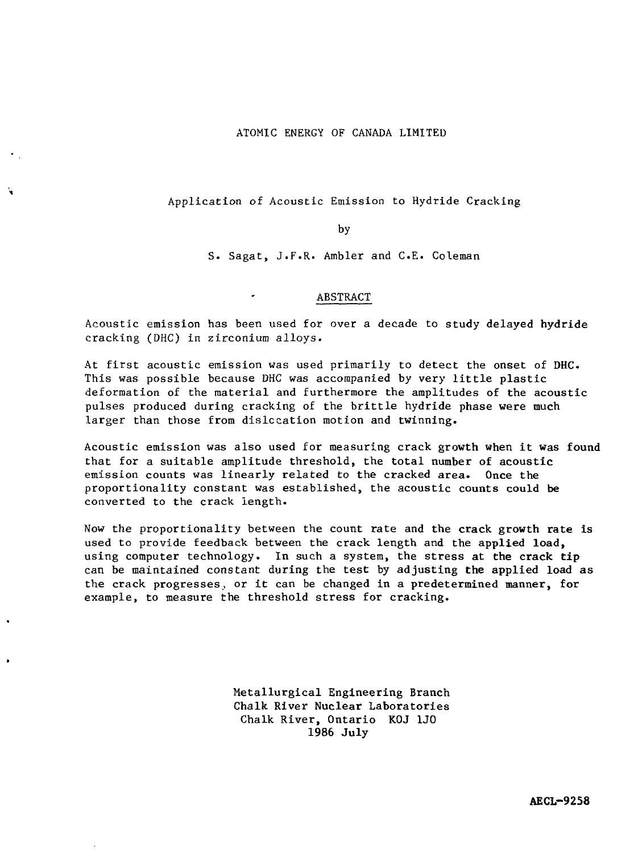#### ATOMIC ENERGY OF CANADA LIMITED

#### Application of Acoustic Emission to Hydride Cracking

by

S. Sagat, J.F.R. Ambler and C.E. Coleman

#### ABSTRACT

Acoustic emission has been used for over a decade to study delayed hydride cracking (DHC) in zirconium alloys.

At first acoustic emission was used primarily to detect the onset of DHC. This was possible because DHC was accompanied by very little plastic deformation of the material and furthermore the amplitudes of the acoustic pulses produced during cracking of the brittle hydride phase were much larger than those from dislocation motion and twinning.

Acoustic emission was also used for measuring crack growth when it was found that for a suitable amplitude threshold, the total number of acoustic emission counts was linearly related to the cracked area. Once the proportionality constant was established, the acoustic counts could be converted to the crack length.

Now the proportionality between the count rate and the crack growth rate is used to provide feedback between the crack length and the applied load, using computer technology. In such a system, the stress at the crack tip can be maintained constant during the test by adjusting the applied load as the crack progresses, or it can be changed in a predetermined manner, for example, to measure the threshold stress for cracking.

> Metallurgical Engineering Branch Chalk River Nuclear Laboratories Chalk River, Ontario KOJ 1J0 1986 July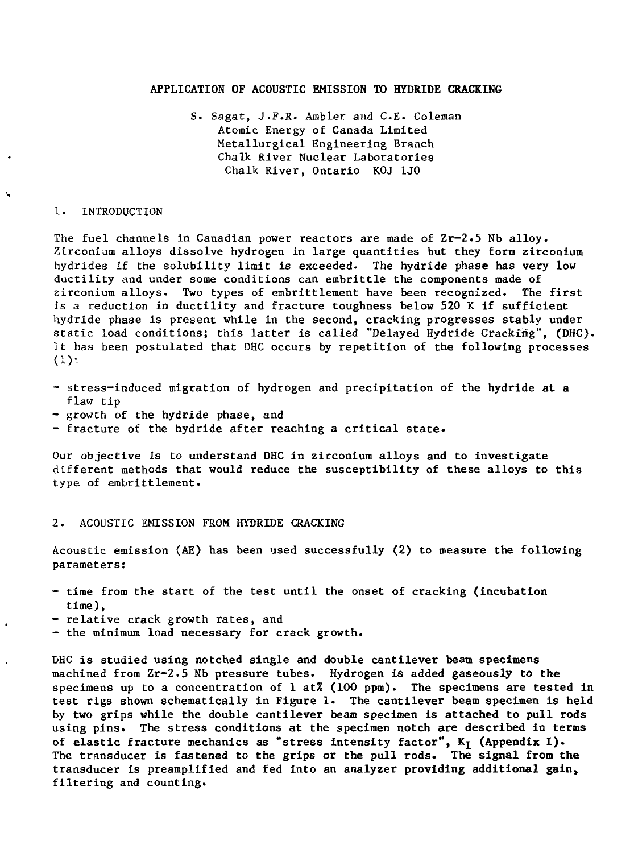#### **APPLICATION OF ACOUSTIC EMISSION TO HYDRIDE CRACKING**

S. Sagat, J.F.R- Ambler and C-E. Coleman Atomic Energy of Canada Limited Metallurgical Engineering Branch Chalk River Nuclear Laboratories Chalk River, Ontario KOJ 1J0

#### 1. INTRODUCTION

N

The fuel channels in Canadian power reactors are made of Zr-2.5 Nb alloy. Zirconium alloys dissolve hydrogen in large quantities but they form zirconium hydrides if the solubility limit is exceeded. The hydride phase has very low ductility and under some conditions can embrittle the components made of zirconium alloys. Two types of embrittlement have been recognized. The first is a reduction in ductility and fracture toughness below 520 K if sufficient hydride phase is present while in the second, cracking progresses stably under static load conditions; this latter is called "Delayed Hydride Cracking", (DHC). It has been postulated that DHC occurs by repetition of the following processes (1):

- stress-induced migration of hydrogen and precipitation of the hydride at a flaw tip
- growth of the hydride phase, and
- fracture of the hydride after reaching a critical state.

Our objective is to understand DHC in zirconium alloys and to investigate different methods that would reduce the susceptibility of these alloys to this type of embrittlement.

#### 2. ACOUSTIC EMISSION FROM HYDRIDE CRACKING

Acoustic emission (AE) has been used successfully (2) to measure the following parameters:

- time from the start of the test until the onset of cracking (incubation time),
- relative crack growth rates, and
- the minimum load necessary for crack growth.

DHC is studied using notched single and double cantilever beam specimens machined from Zr-2.5 Nb pressure **tubes. Hydrogen** is **added gaseously to the** specimens up **to a** concentration of **1 at% (100 ppm). The specimens are tested in** test rigs shown schematically **in** Figure 1. The **cantilever beam specimen is held** by two grips while **the double** cantilever **beam specimen is attached to pull rods** using pins. The stress **conditions at the** specimen **notch are described in terms** of elastic fracture mechanics as "stress **intensity factor", Kj (Appendix I).** The transducer is fastened to the grips or **the pull rods. The signal from the** transducer is preamplifled and fed into an **analyzer providing additional gain,** filtering and counting.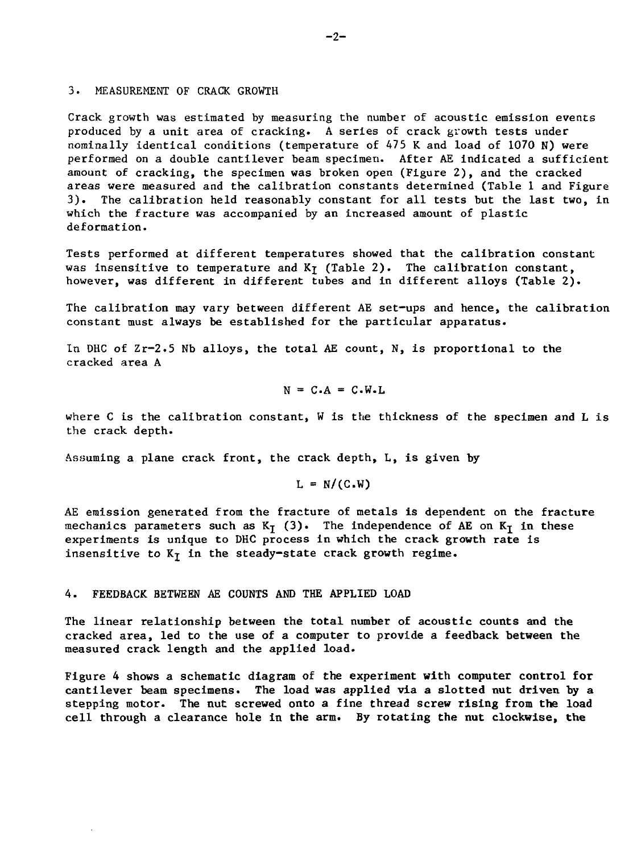#### 3. MEASUREMENT OF CRACK GROWTH

Crack growth was estimated by measuring the number of acoustic emission events produced by a unit area of cracking. A series of crack growth tests under nominally identical conditions (temperature of 475 K and load of 1070 N) were performed on a double cantilever beam specimen. After AE indicated a sufficient amount of cracking, the specimen was broken open (Figure 2), and the cracked areas were measured and the calibration constants determined (Table 1 and Figure 3). The calibration held reasonably constant for all tests but the last two, in which the fracture was accompanied by an increased amount of plastic deformation.

Tests performed at different temperatures showed that the calibration constant was insensitive to temperature and  $K<sub>I</sub>$  (Table 2). The calibration constant, however, was different in different tubes and in different alloys (Table 2).

The calibration may vary between different AE set-ups and hence, the calibration constant must always be established for the particular apparatus.

In DHC of  $Zr-2.5$  Nb alloys, the total AE count, N, is proportional to the cracked area A

$$
N = C.A = C.W.L
$$

where C is the calibration constant, W is the thickness of the specimen and L is the crack depth.

Assuming a plane crack front, the crack depth, L, is given by

$$
L = N/(C.W)
$$

AE emission generated from the fracture of metals is dependent on the fracture mechanics parameters such as  $K<sub>T</sub>$  (3). The independence of AE on  $K<sub>T</sub>$  in these experiments is unique to DHC process in which the crack growth rate is insensitive to  $K<sub>T</sub>$  in the steady-state crack growth regime.

#### 4. FEEDBACK BETWEEN AE COUNTS AND THE APPLIED LOAD

The linear relationship between the total number of acoustic **counts and the** cracked area, led to the use of a computer to provide a **feedback between the** measured crack length and the applied load.

Figure 4 shows a schematic diagram of the experiment **with computer control for** cantilever beam specimens. The **load** was **applied via a slotted nut driven by a** stepping motor. The nut screwed onto **a** fine **thread screw rising from the load** cell through a clearance hole in **the** arm. By rotating the **nut clockwise,** the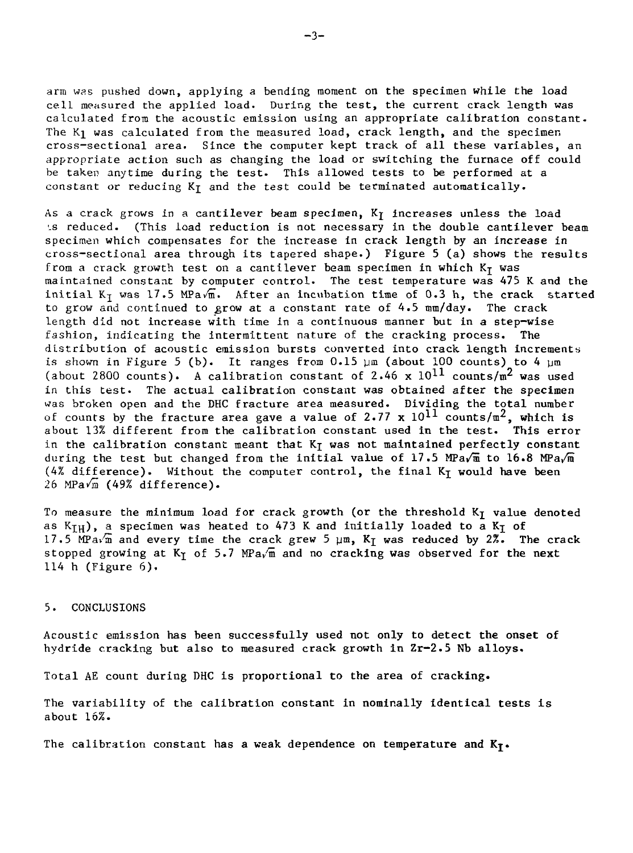arm was pushed down, applying a bending moment on the specimen while the load cell measured the applied load. During the test, the current crack length was calculated from the acoustic emission using an appropriate calibration constant. The  $K_1$  was calculated from the measured load, crack length, and the specimen cross-sectional area. Since the computer kept track of all these variables, an appropriate action such as changing the load or switching the furnace off could be taken anytime during the test. This allowed tests to be performed at a constant or reducing  $K<sub>T</sub>$  and the test could be terminated automatically.

As a crack grows in a cantilever beam specimen,  $K<sub>I</sub>$  increases unless the load 1s reduced. (This load reduction is not necessary in the double cantilever beam specimen which compensates for the increase in crack length by an increase in cross-sectional area through its tapered shape.) Figure 5 (a) shows the results from a crack growth test on a cantilever beam specimen in which  $K<sub>T</sub>$  was maintained constant by computer control. The test temperature was 475 K and the initial K<sub>T</sub> was 17.5 MPavm. After an incubation time of 0.3 h, the crack started to grow and continued to grow at a constant rate of 4.5 mm/day. The crack length did not increase with time in a continuous manner but in a step-wise fashion, indicating the intermittent nature of the cracking process. The distribution of acoustic emission bursts converted into crack length increments is shown in Figure 5 (b). It ranges from  $0.15 \mu m$  (about 100 counts) to 4  $\mu m$ (about 2800 counts). A calibration constant of 2.46 x  $10^{11}$  counts/m<sup>2</sup> was used in this test. The actual calibration constant was obtained after the specimen was broken open and the DHC fracture area measured. Dividing the total number of counts by the fracture area gave a value of 2.77 x  $10^{11}$  counts/ $\pi^2$ , which is about 13% different from the calibration constant used in the test. This error in the calibration constant meant that  $K<sub>T</sub>$  was not maintained perfectly constant during the test but changed from the initial value of 17.5 MPa $\sqrt{m}$  to 16.8 MPa $\sqrt{m}$  $(4%$  difference). Without the computer control, the final K<sub>T</sub> would have been  $26$  MPa $\sqrt{m}$  (49% difference).

To measure the minimum load for crack growth (or the threshold  $K<sub>J</sub>$  value denoted as  $K_{TH}$ , a specimen was heated to 473 K and initially loaded to a  $K_T$  of 17.5 MPa $\sqrt{m}$  and every time the crack grew 5  $\mu$ m, K<sub>I</sub> was reduced by 2%. The crack stopped growing at  $K<sub>T</sub>$  of 5.7 MPa<sub>v</sub><sup>m</sup> and no cracking was observed for the next 114 h (Figure  $6$ ).

#### 5. CONCLUSIONS

Acoustic emission has been successfully used not only to detect the onset of hydride cracking but also to measured crack growth in Zr-2.5 Nb alloys.

Total AE count during DHC is proportional to the area of cracking.

The variability of the calibration constant in nominally identical tests is about 16%.

The calibration constant has a weak dependence on temperature and  $K_T$ .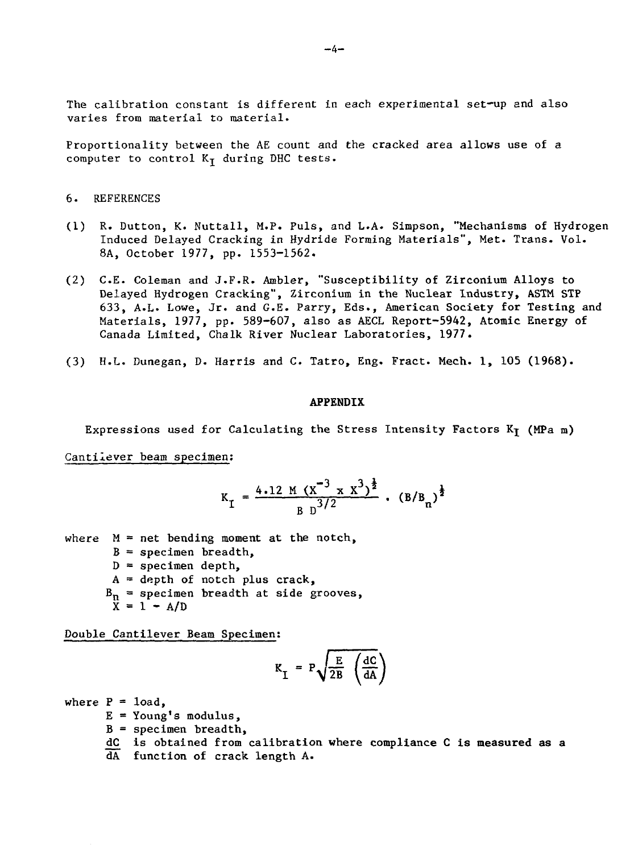The calibration constant is different in each experimental set-up and also varies from material to material.

Proportionality between the AE count and the cracked area allows use of a computer to control  $K_{\text{I}}$  during DHC tests.

#### 6. REFERENCES

- (1) R. Dutton, K. Nuttall, M.P. Puls, and L.A. Simpson, "Mechanisms of Hydrogen Induced Delayed Cracking in Hydride Forming Materials", Met. Trans. Vol. 8A, October 1977, pp. 1553-1562.
- (2) C.E. Coleman and J.F.R. Ambler, "Susceptibility of Zirconium Alloys to Delayed Hydrogen Cracking", Zirconium in the Nuclear Industry, ASTM STP 633, A.L. Lowe, Jr. and G.E. Parry, Eds., American Society for Testing and Materials, 1977, pp. 589-607, also as AECL Report-5942, Atomic Energy of Canada Limited, Chalk River Nuclear Laboratories, 1977.
- (3) H.L. Dunegan, D. Harris and C. Tatro, Eng. Fract. Mech. 1, 105 (1968).

#### **APPENDIX**

Expressions used for Calculating the Stress Intensity Factors  $K_T$  (MPa m)

Cantilever beam specimen:

$$
K_{I} = \frac{4.12 \text{ M} (X^{-3} \times X^{3})^{\frac{1}{2}}}{B \text{ B}^{3/2}} \cdot (B/B_{n})^{\frac{1}{2}}
$$

where  $M = net$  bending moment at the notch,  $B =$  specimen breadth,  $D =$  specimen depth,  $A =$  depth of notch plus crack,  $B_n$  = specimen breadth at side grooves,  $X = 1 - A/D$ 

Double Cantilever Beam Specimen;

$$
K_{I} = P \sqrt{\frac{E}{2B} \left( \frac{dC}{dA} \right)}
$$

where  $P = 1$ oad,  $E = Young's modulus,$  $B =$  specimen breadth, dC is obtained from calibration where compliance C is measured as a dA function of crack length A.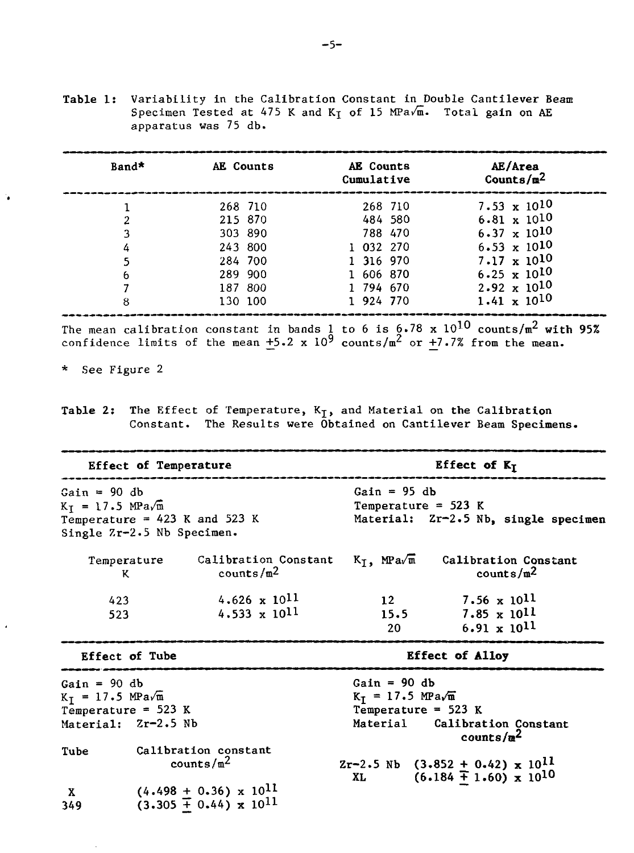**Table 1:** Variability in the Calibration Constant in Double Cantilever Beam Specimen Tested at 475 K and  $K<sub>T</sub>$  of 15 MPa $\sqrt{m}$ . Total gain on AE apparatus was 75 db.

| Band* | AE Counts | AE Counts<br>Cumulative | AE/Area<br>Counts/ $m^2$ |
|-------|-----------|-------------------------|--------------------------|
|       | 268 710   | 268 710                 | 7.53 $\times 10^{10}$    |
| 2     | 215 870   | 484 580                 | $6.81 \times 10^{10}$    |
| 3     | 303 890   | 788 470                 | $6.37 \times 10^{10}$    |
| 4     | 243 800   | 1 032 270               | $6.53 \times 10^{10}$    |
|       | 284 700   | 1 316 970               | $7.17 \times 10^{10}$    |
| 6     | 289 900   | 1 606 870               | $6.25 \times 10^{10}$    |
|       | 187 800   | 1 794 670               | $2.92 \times 10^{10}$    |
| 8     | 130 100   | 1 924 770               | $1.41 \times 10^{10}$    |

The mean calibration constant in bands <u>1</u> to 6 is 6.78 x 10<sup>10</sup> counts/m<sup>2</sup> with 95% confidence limits of the mean  $+5.2 \times 10^9$  counts/m<sup>2</sup> or  $+7.7\%$  from the mean.

\* See Figure 2

**Table 2:** The Effect of Temperature, Kj, and Material on **the** Calibration Constant. The Results were Obtained on Cantilever Beam **Specimens.**

| <b>Effect of Temperature</b><br>Gain = 90 db<br>$K_T = 17.5 \text{ MPa/m}$<br>Temperature = $423$ K and 523 K<br>Single Zr-2.5 Nb Specimen. |                                                                    |                                             | Effect of $K_I$<br>Gain = $95$ db<br>Temperature = $523$ K<br>Material: Zr-2.5 Nb, single specimen                          |  |  |
|---------------------------------------------------------------------------------------------------------------------------------------------|--------------------------------------------------------------------|---------------------------------------------|-----------------------------------------------------------------------------------------------------------------------------|--|--|
|                                                                                                                                             |                                                                    |                                             |                                                                                                                             |  |  |
| Temperature<br>ĸ                                                                                                                            | counts/m <sup>2</sup>                                              | Calibration Constant $K_T$ , MPa $\sqrt{m}$ | Calibration Constant<br>counts/ $m^2$                                                                                       |  |  |
| 423<br>523                                                                                                                                  | 4.626 x $10^{11}$<br>$4.533 \times 10^{11}$                        | 12<br>15.5<br>20 <sub>1</sub>               | $7.56 \times 10^{11}$<br>$7.85 \times 10^{11}$<br>$6.91 \times 10^{11}$                                                     |  |  |
| Effect of Tube                                                                                                                              |                                                                    |                                             | <b>Effect of Alloy</b>                                                                                                      |  |  |
| Gain = $90 db$<br>$K_T = 17.5 \text{ MPa/m}$<br>Temperature = $523 K$<br>Material: Zr-2.5 Nb                                                |                                                                    |                                             | $Gain = 90 db$<br>$K_T = 17.5$ MPa $\sqrt{n}$<br>Temperature = $523 K$<br>Calibration Constant<br>Material<br>counts/ $n^2$ |  |  |
| Tube                                                                                                                                        | Calibration constant<br>counts/ $m^2$                              | XL THE THE T                                | $Zr-2.5$ Nb $(3.852 + 0.42) \times 10^{11}$<br>$(6.184 \pm 1.60) \times 10^{10}$                                            |  |  |
| $\mathbf{x}$<br>349                                                                                                                         | $(4.498 + 0.36) \times 10^{11}$<br>$(3.305 + 0.44) \times 10^{11}$ |                                             |                                                                                                                             |  |  |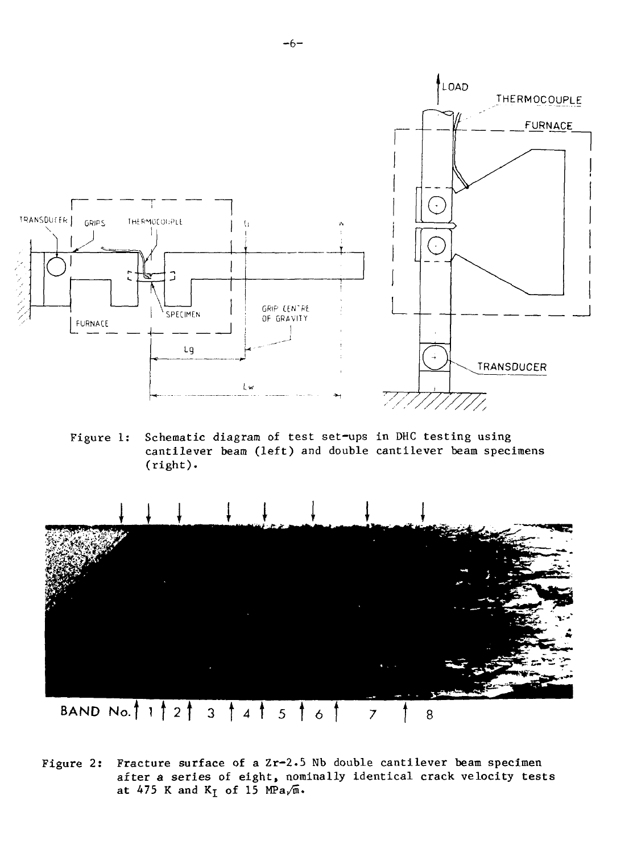

Figure 1: Schematic diagram of test set-ups in DHC testing using cantilever beam (left) and double cantilever beam specimens (right).



Figure 2: Fracture surface of a Zr-2.5 Nb double cantilever beam specimen after a series of eight, nominally identical crack velocity tests at 475 K and  $K_I$  of 15 MPa $\sqrt{n}$ .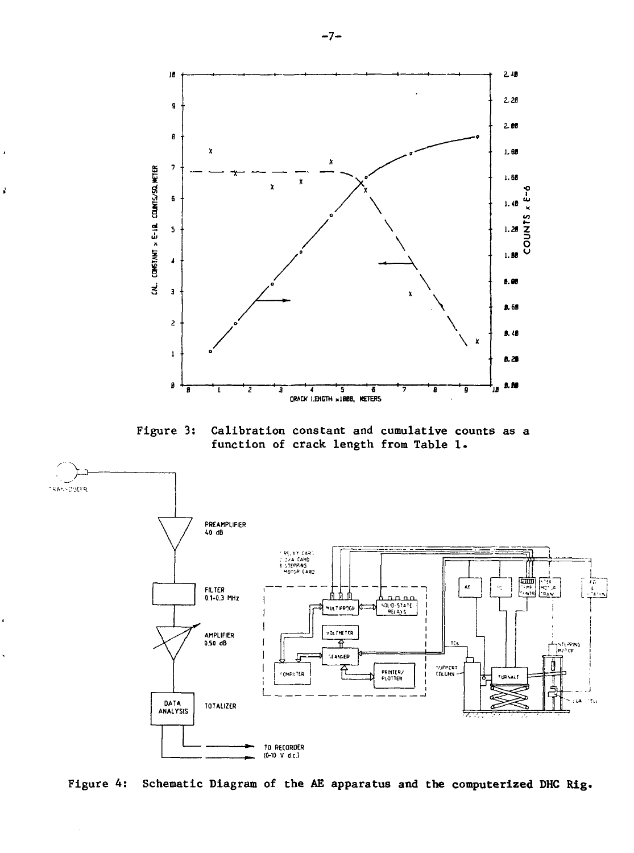

 $\vec{p}$ 

**Figure 3: Calibration constant and cumulative counts as a function of crack length from Table 1.**



**Figure 4: Schematic Diagram of the AE apparatus and the computerized DHC Rig.**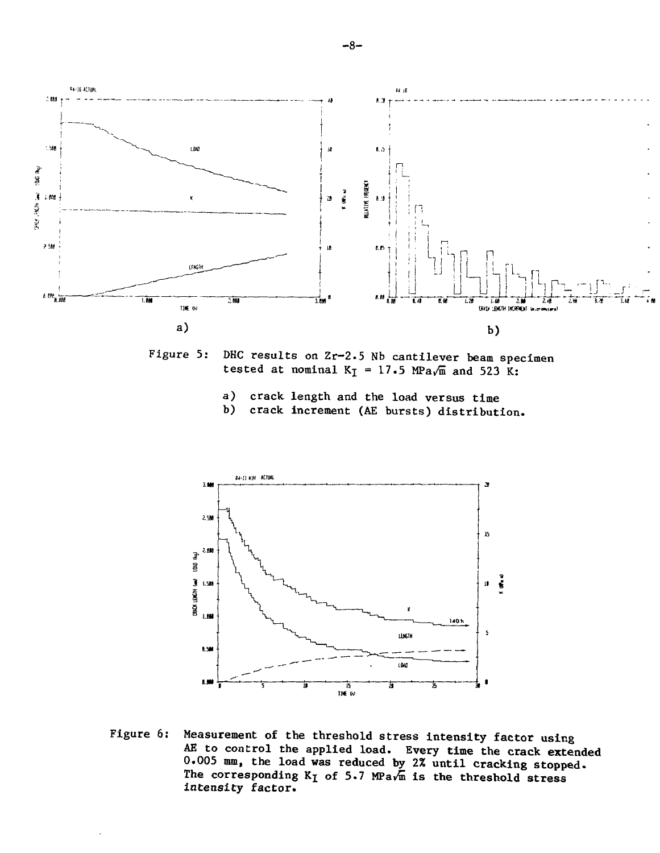

Figure 5: DHC results on Zr-2.5 Nb cantilever beam specimen tested at nominal  $K_I = 17.5$  MPa $\sqrt{m}$  and 523 K:

- a) crack length and the load versus time<br>b) crack increment (AE bursts) distribute
- b) crack increment (AE bursts) distribution.



Figure 6: Measurement of the threshold stress intensity factor using AE to control the applied load. Every time the crack extended 0.005 mm, the load was reduced by 2% until cracking stopped. The corresponding  $K_I$  of 5.7 MPa $\sqrt{m}$  is the threshold stress intensity factor.